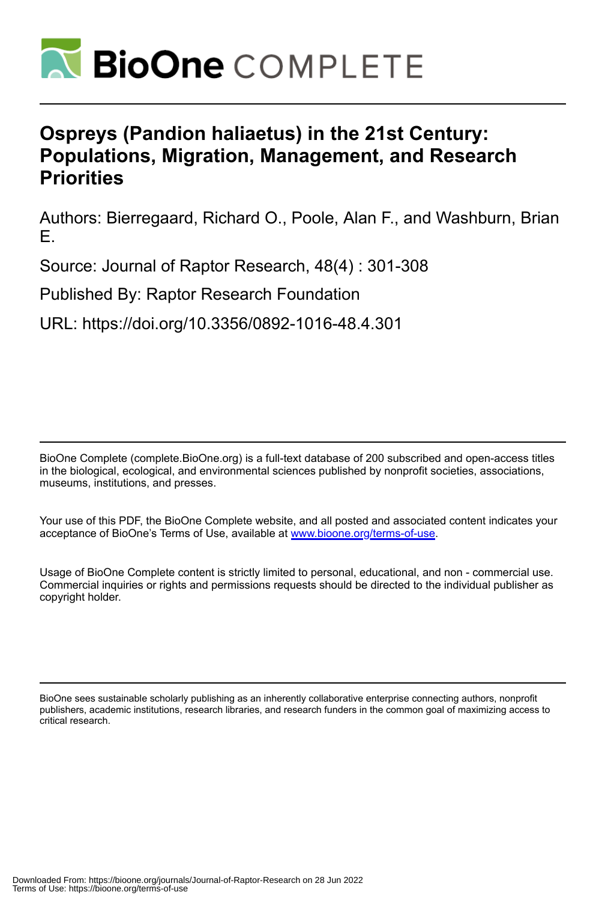

## **Ospreys (Pandion haliaetus) in the 21st Century: Populations, Migration, Management, and Research Priorities**

Authors: Bierregaard, Richard O., Poole, Alan F., and Washburn, Brian E.

Source: Journal of Raptor Research, 48(4) : 301-308

Published By: Raptor Research Foundation

URL: https://doi.org/10.3356/0892-1016-48.4.301

BioOne Complete (complete.BioOne.org) is a full-text database of 200 subscribed and open-access titles in the biological, ecological, and environmental sciences published by nonprofit societies, associations, museums, institutions, and presses.

Your use of this PDF, the BioOne Complete website, and all posted and associated content indicates your acceptance of BioOne's Terms of Use, available at www.bioone.org/terms-of-use.

Usage of BioOne Complete content is strictly limited to personal, educational, and non - commercial use. Commercial inquiries or rights and permissions requests should be directed to the individual publisher as copyright holder.

BioOne sees sustainable scholarly publishing as an inherently collaborative enterprise connecting authors, nonprofit publishers, academic institutions, research libraries, and research funders in the common goal of maximizing access to critical research.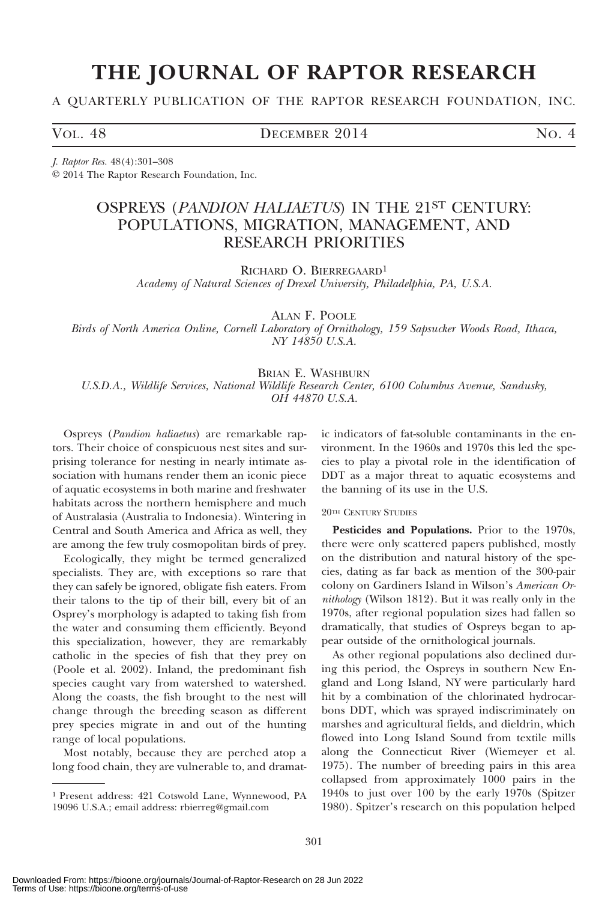# THE JOURNAL OF RAPTOR RESEARCH

#### A QUARTERLY PUBLICATION OF THE RAPTOR RESEARCH FOUNDATION, INC.

VOL. 48 DECEMBER 2014 NO. 4

J. Raptor Res. 48(4):301–308 E 2014 The Raptor Research Foundation, Inc.

### OSPREYS (PANDION HALIAETUS) IN THE 21ST CENTURY: POPULATIONS, MIGRATION, MANAGEMENT, AND RESEARCH PRIORITIES

RICHARD O. BIERREGAARD1

Academy of Natural Sciences of Drexel University, Philadelphia, PA, U.S.A.

ALAN F. POOLE

Birds of North America Online, Cornell Laboratory of Ornithology, 159 Sapsucker Woods Road, Ithaca, NY 14850 U.S.A.

BRIAN E. WASHBURN

U.S.D.A., Wildlife Services, National Wildlife Research Center, 6100 Columbus Avenue, Sandusky, OH 44870 U.S.A.

Ospreys (Pandion haliaetus) are remarkable raptors. Their choice of conspicuous nest sites and surprising tolerance for nesting in nearly intimate association with humans render them an iconic piece of aquatic ecosystems in both marine and freshwater habitats across the northern hemisphere and much of Australasia (Australia to Indonesia). Wintering in Central and South America and Africa as well, they are among the few truly cosmopolitan birds of prey.

Ecologically, they might be termed generalized specialists. They are, with exceptions so rare that they can safely be ignored, obligate fish eaters. From their talons to the tip of their bill, every bit of an Osprey's morphology is adapted to taking fish from the water and consuming them efficiently. Beyond this specialization, however, they are remarkably catholic in the species of fish that they prey on (Poole et al. 2002). Inland, the predominant fish species caught vary from watershed to watershed. Along the coasts, the fish brought to the nest will change through the breeding season as different prey species migrate in and out of the hunting range of local populations.

Most notably, because they are perched atop a long food chain, they are vulnerable to, and dramatic indicators of fat-soluble contaminants in the environment. In the 1960s and 1970s this led the species to play a pivotal role in the identification of DDT as a major threat to aquatic ecosystems and the banning of its use in the U.S.

#### 20TH CENTURY STUDIES

Pesticides and Populations. Prior to the 1970s, there were only scattered papers published, mostly on the distribution and natural history of the species, dating as far back as mention of the 300-pair colony on Gardiners Island in Wilson's American Ornithology (Wilson 1812). But it was really only in the 1970s, after regional population sizes had fallen so dramatically, that studies of Ospreys began to appear outside of the ornithological journals.

As other regional populations also declined during this period, the Ospreys in southern New England and Long Island, NY were particularly hard hit by a combination of the chlorinated hydrocarbons DDT, which was sprayed indiscriminately on marshes and agricultural fields, and dieldrin, which flowed into Long Island Sound from textile mills along the Connecticut River (Wiemeyer et al. 1975). The number of breeding pairs in this area collapsed from approximately 1000 pairs in the 1940s to just over 100 by the early 1970s (Spitzer 1980). Spitzer's research on this population helped

<sup>1</sup> Present address: 421 Cotswold Lane, Wynnewood, PA 19096 U.S.A.; email address: rbierreg@gmail.com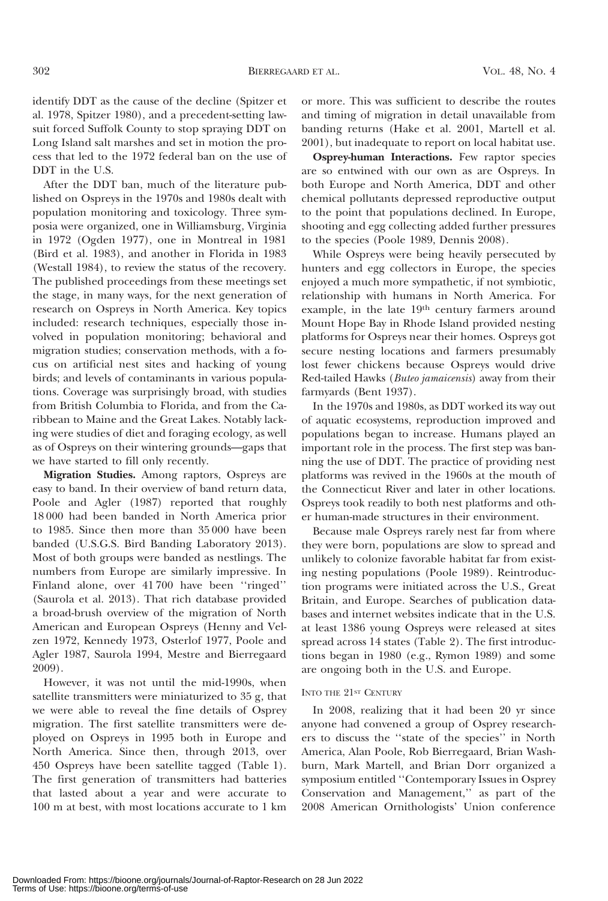identify DDT as the cause of the decline (Spitzer et al. 1978, Spitzer 1980), and a precedent-setting lawsuit forced Suffolk County to stop spraying DDT on Long Island salt marshes and set in motion the process that led to the 1972 federal ban on the use of DDT in the U.S.

After the DDT ban, much of the literature published on Ospreys in the 1970s and 1980s dealt with population monitoring and toxicology. Three symposia were organized, one in Williamsburg, Virginia in 1972 (Ogden 1977), one in Montreal in 1981 (Bird et al. 1983), and another in Florida in 1983 (Westall 1984), to review the status of the recovery. The published proceedings from these meetings set the stage, in many ways, for the next generation of research on Ospreys in North America. Key topics included: research techniques, especially those involved in population monitoring; behavioral and migration studies; conservation methods, with a focus on artificial nest sites and hacking of young birds; and levels of contaminants in various populations. Coverage was surprisingly broad, with studies from British Columbia to Florida, and from the Caribbean to Maine and the Great Lakes. Notably lacking were studies of diet and foraging ecology, as well as of Ospreys on their wintering grounds—gaps that we have started to fill only recently.

Migration Studies. Among raptors, Ospreys are easy to band. In their overview of band return data, Poole and Agler (1987) reported that roughly 18 000 had been banded in North America prior to 1985. Since then more than 35 000 have been banded (U.S.G.S. Bird Banding Laboratory 2013). Most of both groups were banded as nestlings. The numbers from Europe are similarly impressive. In Finland alone, over 41 700 have been ''ringed'' (Saurola et al. 2013). That rich database provided a broad-brush overview of the migration of North American and European Ospreys (Henny and Velzen 1972, Kennedy 1973, Osterlof 1977, Poole and Agler 1987, Saurola 1994, Mestre and Bierregaard 2009).

However, it was not until the mid-1990s, when satellite transmitters were miniaturized to 35 g, that we were able to reveal the fine details of Osprey migration. The first satellite transmitters were deployed on Ospreys in 1995 both in Europe and North America. Since then, through 2013, over 450 Ospreys have been satellite tagged (Table 1). The first generation of transmitters had batteries that lasted about a year and were accurate to 100 m at best, with most locations accurate to 1 km

or more. This was sufficient to describe the routes and timing of migration in detail unavailable from banding returns (Hake et al. 2001, Martell et al. 2001), but inadequate to report on local habitat use.

Osprey-human Interactions. Few raptor species are so entwined with our own as are Ospreys. In both Europe and North America, DDT and other chemical pollutants depressed reproductive output to the point that populations declined. In Europe, shooting and egg collecting added further pressures to the species (Poole 1989, Dennis 2008).

While Ospreys were being heavily persecuted by hunters and egg collectors in Europe, the species enjoyed a much more sympathetic, if not symbiotic, relationship with humans in North America. For example, in the late 19<sup>th</sup> century farmers around Mount Hope Bay in Rhode Island provided nesting platforms for Ospreys near their homes. Ospreys got secure nesting locations and farmers presumably lost fewer chickens because Ospreys would drive Red-tailed Hawks (Buteo jamaicensis) away from their farmyards (Bent 1937).

In the 1970s and 1980s, as DDT worked its way out of aquatic ecosystems, reproduction improved and populations began to increase. Humans played an important role in the process. The first step was banning the use of DDT. The practice of providing nest platforms was revived in the 1960s at the mouth of the Connecticut River and later in other locations. Ospreys took readily to both nest platforms and other human-made structures in their environment.

Because male Ospreys rarely nest far from where they were born, populations are slow to spread and unlikely to colonize favorable habitat far from existing nesting populations (Poole 1989). Reintroduction programs were initiated across the U.S., Great Britain, and Europe. Searches of publication databases and internet websites indicate that in the U.S. at least 1386 young Ospreys were released at sites spread across 14 states (Table 2). The first introductions began in 1980 (e.g., Rymon 1989) and some are ongoing both in the U.S. and Europe.

#### INTO THE 21ST CENTURY

In 2008, realizing that it had been 20 yr since anyone had convened a group of Osprey researchers to discuss the ''state of the species'' in North America, Alan Poole, Rob Bierregaard, Brian Washburn, Mark Martell, and Brian Dorr organized a symposium entitled ''Contemporary Issues in Osprey Conservation and Management,'' as part of the 2008 American Ornithologists' Union conference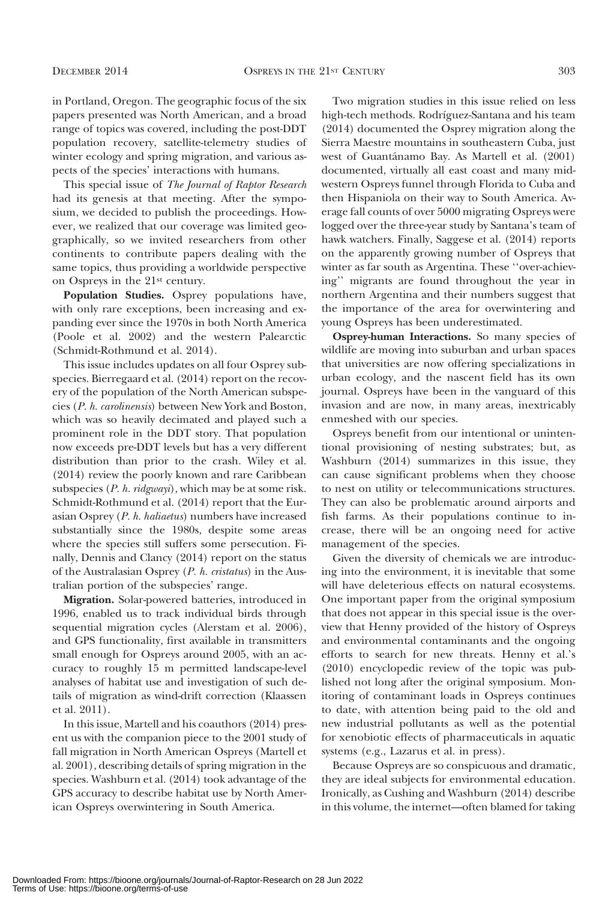in Portland, Oregon. The geographic focus of the six papers presented was North American, and a broad range of topics was covered, including the post-DDT population recovery, satellite-telemetry studies of winter ecology and spring migration, and various aspects of the species' interactions with humans.

This special issue of The Journal of Raptor Research had its genesis at that meeting. After the symposium, we decided to publish the proceedings. However, we realized that our coverage was limited geographically, so we invited researchers from other continents to contribute papers dealing with the same topics, thus providing a worldwide perspective on Ospreys in the 21st century.

Population Studies. Osprey populations have, with only rare exceptions, been increasing and expanding ever since the 1970s in both North America (Poole et al. 2002) and the western Palearctic (Schmidt-Rothmund et al. 2014).

This issue includes updates on all four Osprey subspecies. Bierregaard et al. (2014) report on the recovery of the population of the North American subspecies (P. h. carolinensis) between New York and Boston, which was so heavily decimated and played such a prominent role in the DDT story. That population now exceeds pre-DDT levels but has a very different distribution than prior to the crash. Wiley et al. (2014) review the poorly known and rare Caribbean subspecies  $(P. h. ridgwayi)$ , which may be at some risk. Schmidt-Rothmund et al. (2014) report that the Eurasian Osprey (P. h. haliaetus) numbers have increased substantially since the 1980s, despite some areas where the species still suffers some persecution. Finally, Dennis and Clancy (2014) report on the status of the Australasian Osprey (P. h. cristatus) in the Australian portion of the subspecies' range.

Migration. Solar-powered batteries, introduced in 1996, enabled us to track individual birds through sequential migration cycles (Alerstam et al. 2006), and GPS functionality, first available in transmitters small enough for Ospreys around 2005, with an accuracy to roughly 15 m permitted landscape-level analyses of habitat use and investigation of such details of migration as wind-drift correction (Klaassen et al. 2011).

In this issue, Martell and his coauthors (2014) present us with the companion piece to the 2001 study of fall migration in North American Ospreys (Martell et al. 2001), describing details of spring migration in the species. Washburn et al. (2014) took advantage of the GPS accuracy to describe habitat use by North American Ospreys overwintering in South America.

Two migration studies in this issue relied on less high-tech methods. Rodríguez-Santana and his team (2014) documented the Osprey migration along the Sierra Maestre mountains in southeastern Cuba, just west of Guantánamo Bay. As Martell et al. (2001) documented, virtually all east coast and many midwestern Ospreys funnel through Florida to Cuba and then Hispaniola on their way to South America. Average fall counts of over 5000 migrating Ospreys were logged over the three-year study by Santana's team of hawk watchers. Finally, Saggese et al. (2014) reports on the apparently growing number of Ospreys that winter as far south as Argentina. These ''over-achieving'' migrants are found throughout the year in northern Argentina and their numbers suggest that the importance of the area for overwintering and young Ospreys has been underestimated.

Osprey-human Interactions. So many species of wildlife are moving into suburban and urban spaces that universities are now offering specializations in urban ecology, and the nascent field has its own journal. Ospreys have been in the vanguard of this invasion and are now, in many areas, inextricably enmeshed with our species.

Ospreys benefit from our intentional or unintentional provisioning of nesting substrates; but, as Washburn (2014) summarizes in this issue, they can cause significant problems when they choose to nest on utility or telecommunications structures. They can also be problematic around airports and fish farms. As their populations continue to increase, there will be an ongoing need for active management of the species.

Given the diversity of chemicals we are introducing into the environment, it is inevitable that some will have deleterious effects on natural ecosystems. One important paper from the original symposium that does not appear in this special issue is the overview that Henny provided of the history of Ospreys and environmental contaminants and the ongoing efforts to search for new threats. Henny et al.'s (2010) encyclopedic review of the topic was published not long after the original symposium. Monitoring of contaminant loads in Ospreys continues to date, with attention being paid to the old and new industrial pollutants as well as the potential for xenobiotic effects of pharmaceuticals in aquatic systems (e.g., Lazarus et al. in press).

Because Ospreys are so conspicuous and dramatic, they are ideal subjects for environmental education. Ironically, as Cushing and Washburn (2014) describe in this volume, the internet—often blamed for taking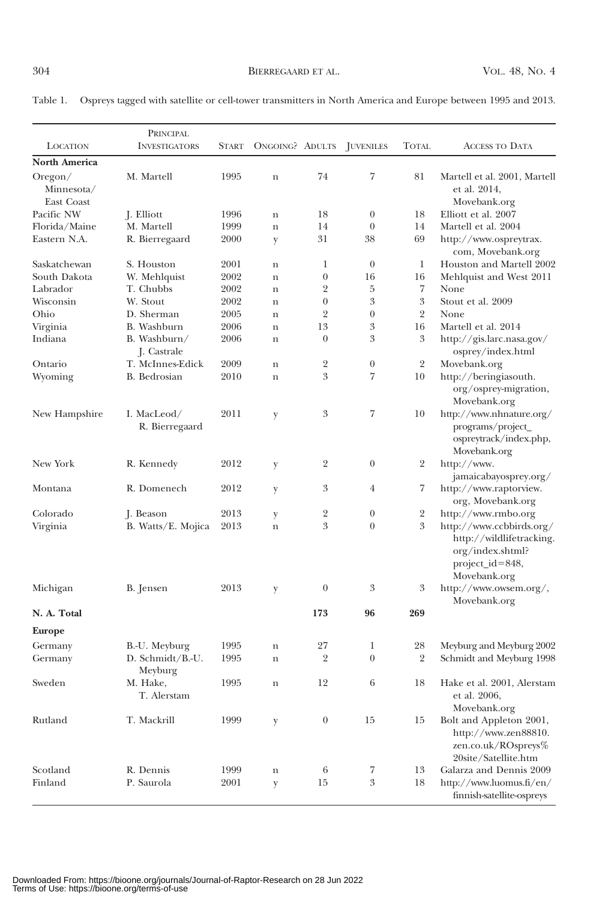|                                           | PRINCIPAL                     |              |                        |                  |                  |                |                                                                                                             |  |
|-------------------------------------------|-------------------------------|--------------|------------------------|------------------|------------------|----------------|-------------------------------------------------------------------------------------------------------------|--|
| LOCATION                                  | <b>INVESTIGATORS</b>          | <b>START</b> | <b>ONGOING? ADULTS</b> |                  | <b>IUVENILES</b> | <b>TOTAL</b>   | <b>ACCESS TO DATA</b>                                                                                       |  |
| <b>North America</b>                      |                               |              |                        |                  |                  |                |                                                                                                             |  |
| $O$ regon $/$<br>Minnesota/<br>East Coast | M. Martell                    | 1995         | $\mathbf n$            | 74               | 7                | 81             | Martell et al. 2001, Martell<br>et al. 2014,<br>Movebank.org                                                |  |
| Pacific NW                                | J. Elliott                    | 1996         | n                      | 18               | $\boldsymbol{0}$ | 18             | Elliott et al. 2007                                                                                         |  |
| Florida/Maine                             | M. Martell                    | 1999         | n                      | 14               | $\boldsymbol{0}$ | 14             | Martell et al. 2004                                                                                         |  |
| Eastern N.A.                              | R. Bierregaard                | 2000         | y                      | 31               | 38               | 69             | http://www.ospreytrax.<br>com, Movebank.org                                                                 |  |
| Saskatchewan                              | S. Houston                    | 2001         | n                      | 1                | $\boldsymbol{0}$ | 1              | Houston and Martell 2002                                                                                    |  |
| South Dakota                              | W. Mehlquist                  | 2002         | n                      | $\boldsymbol{0}$ | 16               | 16             | Mehlquist and West 2011                                                                                     |  |
| Labrador                                  | T. Chubbs                     | 2002         | n                      | $\overline{2}$   | 5                | 7              | None                                                                                                        |  |
| Wisconsin                                 | W. Stout                      | 2002         | n                      | $\theta$         | 3                | 3              | Stout et al. 2009                                                                                           |  |
| Ohio                                      | D. Sherman                    | 2005         | n                      | $\overline{2}$   | $\boldsymbol{0}$ | $\overline{2}$ | None                                                                                                        |  |
| Virginia                                  | B. Washburn                   | 2006         | n                      | 13               | 3                | 16             | Martell et al. 2014                                                                                         |  |
| Indiana                                   | B. Washburn/<br>J. Castrale   | 2006         | n                      | $\theta$         | 3                | 3              | http://gis.larc.nasa.gov/<br>osprey/index.html                                                              |  |
| Ontario                                   | T. McInnes-Edick              | 2009         | n                      | 2                | $\boldsymbol{0}$ | $\overline{2}$ | Movebank.org                                                                                                |  |
| Wyoming                                   | B. Bedrosian                  | 2010         | $\mathbf n$            | 3                | 7                | 10             | http://beringiasouth.<br>org/osprey-migration,<br>Movebank.org                                              |  |
| New Hampshire                             | I. MacLeod/<br>R. Bierregaard | 2011         | y                      | 3                | 7                | 10             | http://www.nhnature.org/<br>programs/project_<br>ospreytrack/index.php,<br>Movebank.org                     |  |
| New York                                  | R. Kennedy                    | 2012         | y                      | $\overline{2}$   | $\boldsymbol{0}$ | $\overline{2}$ | http://www.<br>jamaicabayosprey.org/                                                                        |  |
| Montana                                   | R. Domenech                   | 2012         | y                      | 3                | $\overline{4}$   | 7              | http://www.raptorview.<br>org, Movebank.org                                                                 |  |
| Colorado                                  | J. Beason                     | 2013         | y                      | $\overline{2}$   | $\boldsymbol{0}$ | $\overline{2}$ | http://www.rmbo.org                                                                                         |  |
| Virginia                                  | B. Watts/E. Mojica            | 2013         | $\mathbf n$            | 3                | $\theta$         | 3              | http://www.ccbbirds.org/<br>http://wildlifetracking.<br>org/index.shtml?<br>project_id=848,<br>Movebank.org |  |
| Michigan                                  | B. Jensen                     | 2013         | y                      | $\boldsymbol{0}$ | 3                | 3              | http://www.owsem.org/,<br>Movebank.org                                                                      |  |
| N. A. Total                               |                               |              |                        | 173              | 96               | 269            |                                                                                                             |  |
| <b>Europe</b>                             |                               |              |                        |                  |                  |                |                                                                                                             |  |
| Germany                                   | B.-U. Meyburg                 | 1995         | n                      | 27               | 1                | 28             | Meyburg and Meyburg 2002                                                                                    |  |
| Germany                                   | $D.$ Schmidt/B.-U.<br>Meyburg | 1995         | n                      | $\overline{2}$   | $\theta$         | $\overline{2}$ | Schmidt and Meyburg 1998                                                                                    |  |
| Sweden                                    | M. Hake,<br>T. Alerstam       | 1995         | n                      | 12               | 6                | 18             | Hake et al. 2001, Alerstam<br>et al. 2006,<br>Movebank.org                                                  |  |
| Rutland                                   | T. Mackrill                   | 1999         | y                      | $\boldsymbol{0}$ | 15               | 15             | Bolt and Appleton 2001,<br>http://www.zen88810.<br>zen.co.uk/ROspreys%<br>20site/Satellite.htm              |  |
| Scotland                                  | R. Dennis                     | 1999         | $\bf n$                | 6                | 7                | 13             | Galarza and Dennis 2009                                                                                     |  |
| Finland                                   | P. Saurola                    | 2001         | y                      | 15               | 3                | 18             | http://www.luomus.fi/en/<br>finnish-satellite-ospreys                                                       |  |

| Table 1. Ospreys tagged with satellite or cell-tower transmitters in North America and Europe between 1995 and 2013. |  |  |
|----------------------------------------------------------------------------------------------------------------------|--|--|
|                                                                                                                      |  |  |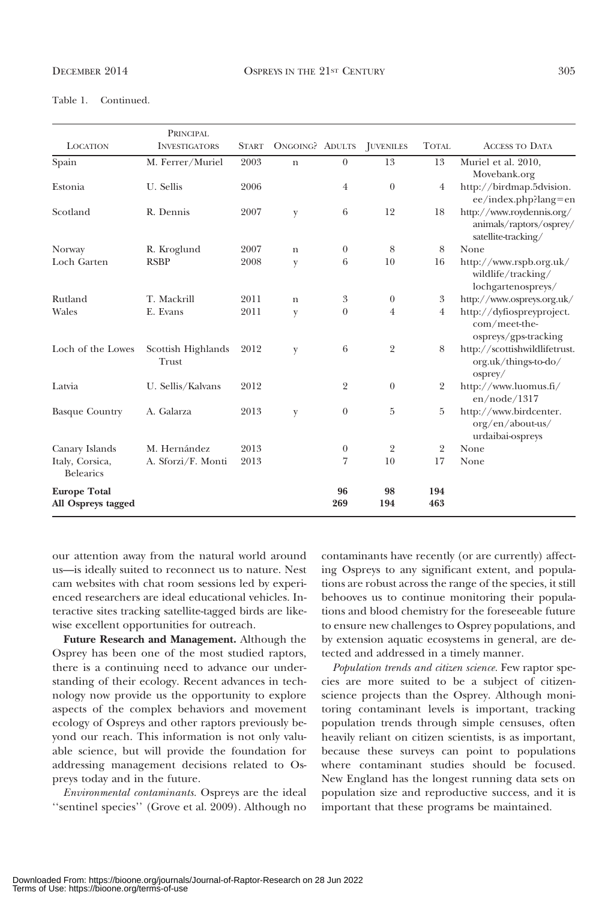| <b>INVESTIGATORS</b>        | <b>START</b>                          |              |                  |                  | <b>TOTAL</b>                                                   | <b>ACCESS TO DATA</b>                                              |
|-----------------------------|---------------------------------------|--------------|------------------|------------------|----------------------------------------------------------------|--------------------------------------------------------------------|
| M. Ferrer/Muriel            | 2003                                  | $\mathbf n$  | $\theta$         | 13               | 13                                                             | Muriel et al. 2010,                                                |
|                             |                                       |              |                  |                  |                                                                | Movebank.org                                                       |
| U. Sellis                   | 2006                                  |              | $\overline{4}$   |                  | $\overline{4}$                                                 | http://birdmap.5dvision.                                           |
|                             |                                       |              |                  |                  |                                                                | ee/index.php?lang=en                                               |
|                             |                                       |              |                  |                  |                                                                | http://www.roydennis.org/                                          |
|                             |                                       |              |                  |                  |                                                                | animals/raptors/osprey/<br>satellite-tracking/                     |
| R. Kroglund                 | 2007                                  | $\mathbf n$  | $\theta$         | 8                | 8                                                              | None                                                               |
| <b>RSBP</b>                 | 2008                                  | y            | 6                | 10               | 16                                                             | http://www.rspb.org.uk/                                            |
|                             |                                       |              |                  |                  |                                                                | wildlife/tracking/                                                 |
|                             |                                       |              |                  |                  |                                                                | lochgartenospreys/                                                 |
|                             |                                       | $\mathbf n$  |                  |                  |                                                                | http://www.ospreys.org.uk/                                         |
| E. Evans                    | 2011                                  | y            | $\boldsymbol{0}$ | $\overline{4}$   | $\overline{4}$                                                 | http://dyfiospreyproject.<br>com/meet-the-<br>ospreys/gps-tracking |
| Scottish Highlands<br>Trust | 2012                                  | y            | 6                | $\overline{2}$   | 8                                                              | http://scottishwildlifetrust.<br>org.uk/things-to-do/<br>osprey/   |
| U. Sellis/Kalvans           | 2012                                  |              | $\overline{2}$   | $\boldsymbol{0}$ | $\overline{2}$                                                 | http://www.luomus.fi/<br>en/node/1317                              |
| A. Galarza                  | 2013                                  | y            | $\theta$         | 5                | 5                                                              | http://www.birdcenter.<br>org/en/about-us/<br>urdaibai-ospreys     |
| M. Hernández                | 2013                                  |              | $\boldsymbol{0}$ | 2                | $\overline{2}$                                                 | None                                                               |
| A. Sforzi/F. Monti          | 2013                                  |              | 7                | 10               | 17                                                             | None                                                               |
|                             |                                       |              | 96<br>269        | 98<br>194        | 194<br>463                                                     |                                                                    |
|                             | PRINCIPAL<br>R. Dennis<br>T. Mackrill | 2007<br>2011 | y                | 6<br>3           | <b>ONGOING? ADULTS JUVENILES</b><br>$\theta$<br>12<br>$\theta$ | 18<br>3                                                            |

our attention away from the natural world around us—is ideally suited to reconnect us to nature. Nest cam websites with chat room sessions led by experienced researchers are ideal educational vehicles. Interactive sites tracking satellite-tagged birds are likewise excellent opportunities for outreach.

Future Research and Management. Although the Osprey has been one of the most studied raptors, there is a continuing need to advance our understanding of their ecology. Recent advances in technology now provide us the opportunity to explore aspects of the complex behaviors and movement ecology of Ospreys and other raptors previously beyond our reach. This information is not only valuable science, but will provide the foundation for addressing management decisions related to Ospreys today and in the future.

Environmental contaminants. Ospreys are the ideal ''sentinel species'' (Grove et al. 2009). Although no

contaminants have recently (or are currently) affecting Ospreys to any significant extent, and populations are robust across the range of the species, it still behooves us to continue monitoring their populations and blood chemistry for the foreseeable future to ensure new challenges to Osprey populations, and by extension aquatic ecosystems in general, are detected and addressed in a timely manner.

Population trends and citizen science. Few raptor species are more suited to be a subject of citizenscience projects than the Osprey. Although monitoring contaminant levels is important, tracking population trends through simple censuses, often heavily reliant on citizen scientists, is as important, because these surveys can point to populations where contaminant studies should be focused. New England has the longest running data sets on population size and reproductive success, and it is important that these programs be maintained.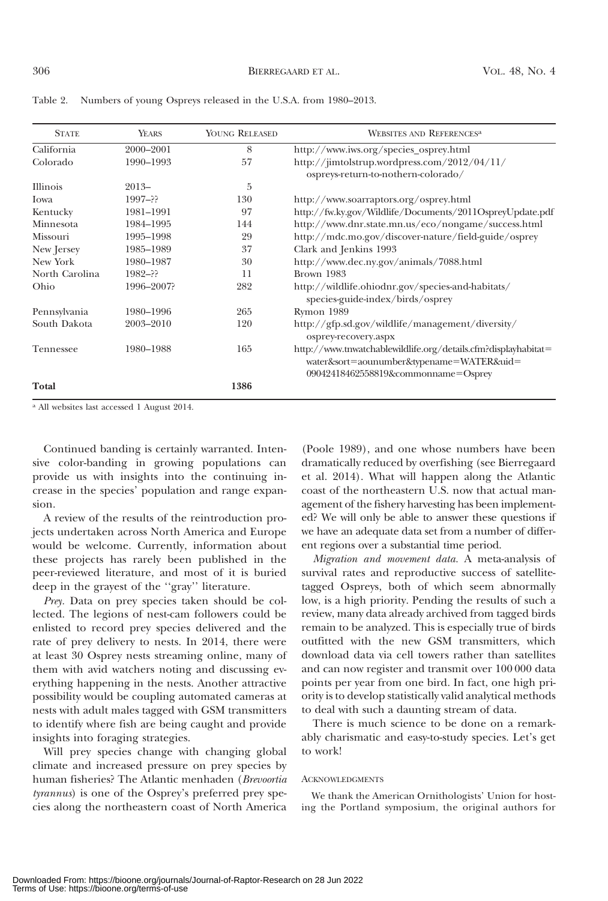| Table 2. |  |  |  |  |  |  |  | Numbers of young Ospreys released in the U.S.A. from 1980–2013. |
|----------|--|--|--|--|--|--|--|-----------------------------------------------------------------|
|----------|--|--|--|--|--|--|--|-----------------------------------------------------------------|

| <b>STATE</b>    | YEARS       | YOUNG RELEASED | <b>WEBSITES AND REFERENCES<sup>a</sup></b>                                                                                                        |
|-----------------|-------------|----------------|---------------------------------------------------------------------------------------------------------------------------------------------------|
| California      | 2000-2001   | 8              | http://www.iws.org/species_osprey.html                                                                                                            |
| Colorado        | 1990-1993   | 57             | http://jimtolstrup.wordpress.com/2012/04/11/<br>ospreys-return-to-nothern-colorado/                                                               |
| <b>Illinois</b> | $2013-$     | 5              |                                                                                                                                                   |
| <b>I</b> owa    | $1997 - ??$ | 130            | http://www.soarraptors.org/osprey.html                                                                                                            |
| Kentucky        | 1981-1991   | 97             | http://fw.ky.gov/Wildlife/Documents/2011OspreyUpdate.pdf                                                                                          |
| Minnesota       | 1984-1995   | 144            | http://www.dnr.state.mn.us/eco/nongame/success.html                                                                                               |
| Missouri        | 1995-1998   | 29             | http://mdc.mo.gov/discover-nature/field-guide/osprey                                                                                              |
| New Jersey      | 1985-1989   | 37             | Clark and Jenkins 1993                                                                                                                            |
| New York        | 1980-1987   | 30             | http://www.dec.ny.gov/animals/7088.html                                                                                                           |
| North Carolina  | $1982 - ??$ | 11             | <b>Brown 1983</b>                                                                                                                                 |
| Ohio            | 1996-2007?  | 282            | http://wildlife.ohiodnr.gov/species-and-habitats/<br>species-guide-index/birds/osprey                                                             |
| Pennsylvania    | 1980-1996   | 265            | Rymon 1989                                                                                                                                        |
| South Dakota    | 2003-2010   | 120            | http://gfp.sd.gov/wildlife/management/diversity/<br>osprey-recovery.aspx                                                                          |
| Tennessee       | 1980–1988   | 165            | http://www.tnwatchablewildlife.org/details.cfm?displayhabitat=<br>water&sort=aounumber&typename=WATER&uid=<br>09042418462558819&commonname=Osprey |
| Total           |             | 1386           |                                                                                                                                                   |

<sup>a</sup> All websites last accessed 1 August 2014.

Continued banding is certainly warranted. Intensive color-banding in growing populations can provide us with insights into the continuing increase in the species' population and range expansion.

A review of the results of the reintroduction projects undertaken across North America and Europe would be welcome. Currently, information about these projects has rarely been published in the peer-reviewed literature, and most of it is buried deep in the grayest of the ''gray'' literature.

Prey. Data on prey species taken should be collected. The legions of nest-cam followers could be enlisted to record prey species delivered and the rate of prey delivery to nests. In 2014, there were at least 30 Osprey nests streaming online, many of them with avid watchers noting and discussing everything happening in the nests. Another attractive possibility would be coupling automated cameras at nests with adult males tagged with GSM transmitters to identify where fish are being caught and provide insights into foraging strategies.

Will prey species change with changing global climate and increased pressure on prey species by human fisheries? The Atlantic menhaden (Brevoortia tyrannus) is one of the Osprey's preferred prey species along the northeastern coast of North America

(Poole 1989), and one whose numbers have been dramatically reduced by overfishing (see Bierregaard et al. 2014). What will happen along the Atlantic coast of the northeastern U.S. now that actual management of the fishery harvesting has been implemented? We will only be able to answer these questions if we have an adequate data set from a number of different regions over a substantial time period.

Migration and movement data. A meta-analysis of survival rates and reproductive success of satellitetagged Ospreys, both of which seem abnormally low, is a high priority. Pending the results of such a review, many data already archived from tagged birds remain to be analyzed. This is especially true of birds outfitted with the new GSM transmitters, which download data via cell towers rather than satellites and can now register and transmit over 100 000 data points per year from one bird. In fact, one high priority is to develop statistically valid analytical methods to deal with such a daunting stream of data.

There is much science to be done on a remarkably charismatic and easy-to-study species. Let's get to work!

#### ACKNOWLEDGMENTS

We thank the American Ornithologists' Union for hosting the Portland symposium, the original authors for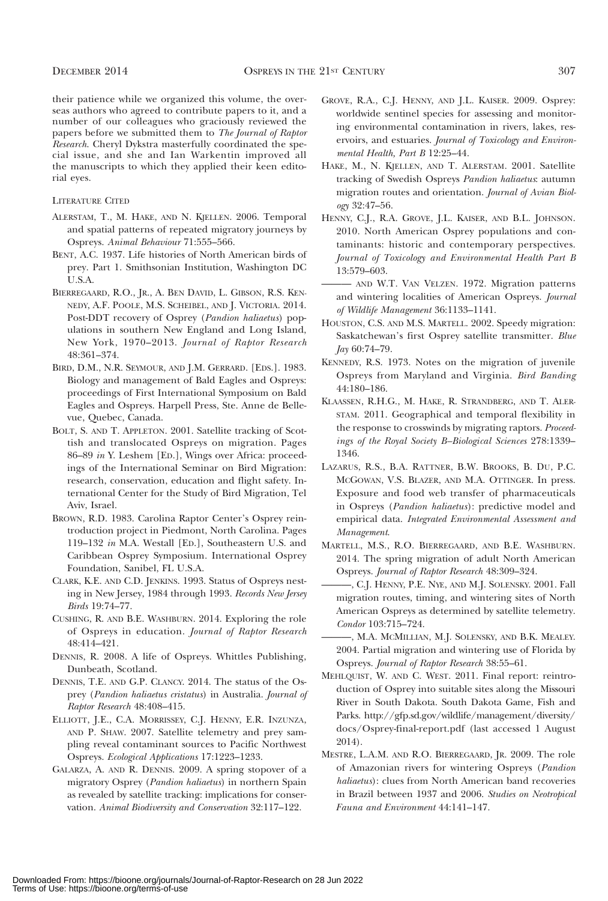their patience while we organized this volume, the overseas authors who agreed to contribute papers to it, and a number of our colleagues who graciously reviewed the papers before we submitted them to The Journal of Raptor Research. Cheryl Dykstra masterfully coordinated the special issue, and she and Ian Warkentin improved all the manuscripts to which they applied their keen editorial eyes.

#### LITERATURE CITED

- ALERSTAM, T., M. HAKE, AND N. KJELLEN. 2006. Temporal and spatial patterns of repeated migratory journeys by Ospreys. Animal Behaviour 71:555–566.
- BENT, A.C. 1937. Life histories of North American birds of prey. Part 1. Smithsonian Institution, Washington DC U.S.A.
- BIERREGAARD, R.O., JR., A. BEN DAVID, L. GIBSON, R.S. KEN-NEDY, A.F. POOLE, M.S. SCHEIBEL, AND J. VICTORIA. 2014. Post-DDT recovery of Osprey (Pandion haliaetus) populations in southern New England and Long Island, New York, 1970–2013. Journal of Raptor Research 48:361–374.
- BIRD, D.M., N.R. SEYMOUR, AND J.M. GERRARD. [EDS.]. 1983. Biology and management of Bald Eagles and Ospreys: proceedings of First International Symposium on Bald Eagles and Ospreys. Harpell Press, Ste. Anne de Bellevue, Quebec, Canada.
- BOLT, S. AND T. APPLETON. 2001. Satellite tracking of Scottish and translocated Ospreys on migration. Pages 86–89 in Y. Leshem [ED.], Wings over Africa: proceedings of the International Seminar on Bird Migration: research, conservation, education and flight safety. International Center for the Study of Bird Migration, Tel Aviv, Israel.
- BROWN, R.D. 1983. Carolina Raptor Center's Osprey reintroduction project in Piedmont, North Carolina. Pages 119–132 in M.A. Westall [ED.], Southeastern U.S. and Caribbean Osprey Symposium. International Osprey Foundation, Sanibel, FL U.S.A.
- CLARK, K.E. AND C.D. JENKINS. 1993. Status of Ospreys nesting in New Jersey, 1984 through 1993. Records New Jersey Birds 19:74–77.
- CUSHING, R. AND B.E. WASHBURN. 2014. Exploring the role of Ospreys in education. Journal of Raptor Research 48:414–421.
- DENNIS, R. 2008. A life of Ospreys. Whittles Publishing, Dunbeath, Scotland.
- DENNIS, T.E. AND G.P. CLANCY. 2014. The status of the Osprey (Pandion haliaetus cristatus) in Australia. Journal of Raptor Research 48:408–415.
- ELLIOTT, J.E., C.A. MORRISSEY, C.J. HENNY, E.R. INZUNZA, AND P. SHAW. 2007. Satellite telemetry and prey sampling reveal contaminant sources to Pacific Northwest Ospreys. Ecological Applications 17:1223–1233.
- GALARZA, A. AND R. DENNIS. 2009. A spring stopover of a migratory Osprey (Pandion haliaetus) in northern Spain as revealed by satellite tracking: implications for conservation. Animal Biodiversity and Conservation 32:117–122.
- GROVE, R.A., C.J. HENNY, AND J.L. KAISER. 2009. Osprey: worldwide sentinel species for assessing and monitoring environmental contamination in rivers, lakes, reservoirs, and estuaries. Journal of Toxicology and Environmental Health, Part B 12:25–44.
- HAKE, M., N. KJELLEN, AND T. ALERSTAM. 2001. Satellite tracking of Swedish Ospreys Pandion haliaetus: autumn migration routes and orientation. Journal of Avian Biology 32:47–56.
- HENNY, C.J., R.A. GROVE, J.L. KAISER, AND B.L. JOHNSON. 2010. North American Osprey populations and contaminants: historic and contemporary perspectives. Journal of Toxicology and Environmental Health Part B 13:579–603.
- AND W.T. VAN VELZEN. 1972. Migration patterns and wintering localities of American Ospreys. Journal of Wildlife Management 36:1133–1141.
- HOUSTON, C.S. AND M.S. MARTELL. 2002. Speedy migration: Saskatchewan's first Osprey satellite transmitter. Blue Jay 60:74–79.
- KENNEDY, R.S. 1973. Notes on the migration of juvenile Ospreys from Maryland and Virginia. Bird Banding 44:180–186.
- KLAASSEN, R.H.G., M. HAKE, R. STRANDBERG, AND T. ALER-STAM. 2011. Geographical and temporal flexibility in the response to crosswinds by migrating raptors. Proceedings of the Royal Society B–Biological Sciences 278:1339– 1346.
- LAZARUS, R.S., B.A. RATTNER, B.W. BROOKS, B. DU, P.C. MCGOWAN, V.S. BLAZER, AND M.A. OTTINGER. In press. Exposure and food web transfer of pharmaceuticals in Ospreys (Pandion haliaetus): predictive model and empirical data. Integrated Environmental Assessment and Management.
- MARTELL, M.S., R.O. BIERREGAARD, AND B.E. WASHBURN. 2014. The spring migration of adult North American Ospreys. Journal of Raptor Research 48:309–324.
- ———, C.J. HENNY, P.E. NYE, AND M.J. SOLENSKY. 2001. Fall migration routes, timing, and wintering sites of North American Ospreys as determined by satellite telemetry. Condor 103:715–724.

-, M.A. MCMILLIAN, M.J. SOLENSKY, AND B.K. MEALEY. 2004. Partial migration and wintering use of Florida by Ospreys. Journal of Raptor Research 38:55–61.

- MEHLQUIST, W. AND C. WEST. 2011. Final report: reintroduction of Osprey into suitable sites along the Missouri River in South Dakota. South Dakota Game, Fish and Parks. http://gfp.sd.gov/wildlife/management/diversity/ docs/Osprey-final-report.pdf (last accessed 1 August 2014).
- MESTRE, L.A.M. AND R.O. BIERREGAARD, JR. 2009. The role of Amazonian rivers for wintering Ospreys (Pandion haliaetus): clues from North American band recoveries in Brazil between 1937 and 2006. Studies on Neotropical Fauna and Environment 44:141–147.